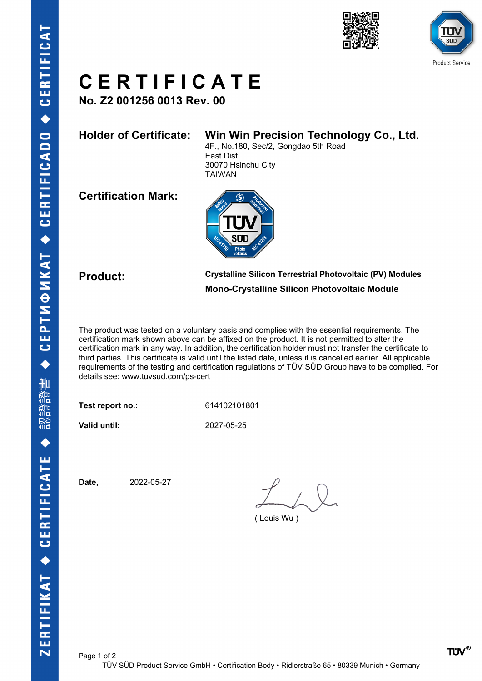



# **C E R T I F I C A T E**

**No. Z2 001256 0013 Rev. 00**

## **Holder of Certificate: Win Win Precision Technology Co., Ltd.**

4F., No.180, Sec/2, Gongdao 5th Road East Dist. 30070 Hsinchu City TAIWAN

**Certification Mark:**



**Product: Crystalline Silicon Terrestrial Photovoltaic (PV) Modules Mono-Crystalline Silicon Photovoltaic Module**

The product was tested on a voluntary basis and complies with the essential requirements. The certification mark shown above can be affixed on the product. It is not permitted to alter the certification mark in any way. In addition, the certification holder must not transfer the certificate to third parties. This certificate is valid until the listed date, unless it is cancelled earlier. All applicable requirements of the testing and certification regulations of TÜV SÜD Group have to be complied. For details see: www.tuvsud.com/ps-cert

**Test report no.:** 614102101801

**Valid until:** 2027-05-25

**Date,** 2022-05-27

( Louis Wu )